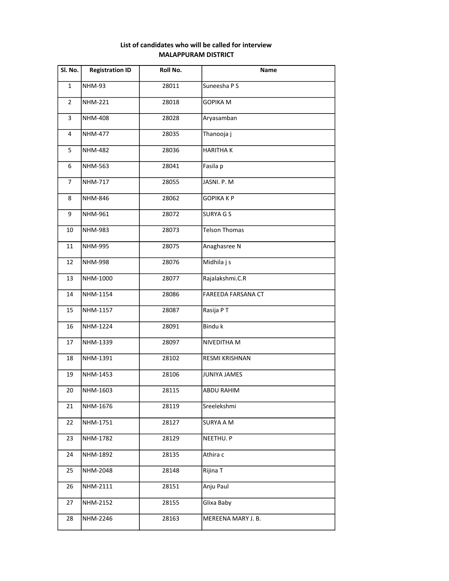## List of candidates who will be called for interview MALAPPURAM DISTRICT

| Sl. No.        | <b>Registration ID</b> | Roll No. | Name                 |
|----------------|------------------------|----------|----------------------|
| $\mathbf{1}$   | <b>NHM-93</b>          | 28011    | Suneesha P S         |
| $\overline{2}$ | <b>NHM-221</b>         | 28018    | <b>GOPIKA M</b>      |
| 3              | <b>NHM-408</b>         | 28028    | Aryasamban           |
| 4              | <b>NHM-477</b>         | 28035    | Thanooja j           |
| 5              | <b>NHM-482</b>         | 28036    | <b>HARITHAK</b>      |
| 6              | NHM-563                | 28041    | Fasila p             |
| $\overline{7}$ | <b>NHM-717</b>         | 28055    | JASNI. P. M          |
| 8              | <b>NHM-846</b>         | 28062    | <b>GOPIKAKP</b>      |
| 9              | NHM-961                | 28072    | <b>SURYA G S</b>     |
| 10             | <b>NHM-983</b>         | 28073    | <b>Telson Thomas</b> |
| 11             | <b>NHM-995</b>         | 28075    | Anaghasree N         |
| 12             | NHM-998                | 28076    | Midhila j s          |
| 13             | NHM-1000               | 28077    | Rajalakshmi.C.R      |
| 14             | NHM-1154               | 28086    | FAREEDA FARSANA CT   |
| 15             | NHM-1157               | 28087    | Rasija PT            |
| 16             | NHM-1224               | 28091    | Bindu k              |
| 17             | NHM-1339               | 28097    | NIVEDITHA M          |
| 18             | NHM-1391               | 28102    | RESMI KRISHNAN       |
| 19             | NHM-1453               | 28106    | JUNIYA JAMES         |
| 20             | NHM-1603               | 28115    | <b>ABDU RAHIM</b>    |
| 21             | NHM-1676               | 28119    | Sreelekshmi          |
| 22             | NHM-1751               | 28127    | <b>SURYA A M</b>     |
| 23             | NHM-1782               | 28129    | NEETHU. P            |
| 24             | NHM-1892               | 28135    | Athira c             |
| 25             | NHM-2048               | 28148    | Rijina T             |
| 26             | NHM-2111               | 28151    | Anju Paul            |
| 27             | NHM-2152               | 28155    | Glixa Baby           |
| 28             | NHM-2246               | 28163    | MEREENA MARY J. B.   |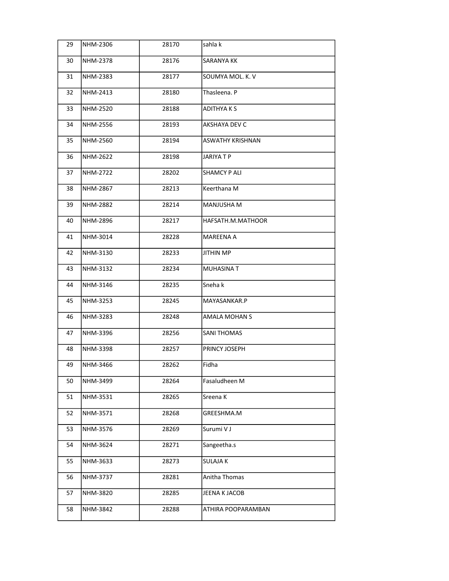| 29 | NHM-2306        | 28170 | sahla k                 |
|----|-----------------|-------|-------------------------|
| 30 | <b>NHM-2378</b> | 28176 | <b>SARANYA KK</b>       |
| 31 | NHM-2383        | 28177 | SOUMYA MOL. K. V        |
| 32 | NHM-2413        | 28180 | Thasleena. P            |
| 33 | NHM-2520        | 28188 | <b>ADITHYAKS</b>        |
| 34 | NHM-2556        | 28193 | AKSHAYA DEV C           |
| 35 | NHM-2560        | 28194 | <b>ASWATHY KRISHNAN</b> |
| 36 | NHM-2622        | 28198 | <b>JARIYATP</b>         |
| 37 | <b>NHM-2722</b> | 28202 | <b>SHAMCY P ALI</b>     |
| 38 | NHM-2867        | 28213 | Keerthana M             |
| 39 | NHM-2882        | 28214 | MANJUSHA M              |
| 40 | NHM-2896        | 28217 | HAFSATH.M.MATHOOR       |
| 41 | NHM-3014        | 28228 | <b>MAREENA A</b>        |
| 42 | NHM-3130        | 28233 | JITHIN MP               |
| 43 | NHM-3132        | 28234 | MUHASINA T              |
| 44 | NHM-3146        | 28235 | Sneha k                 |
| 45 | NHM-3253        | 28245 | MAYASANKAR.P            |
| 46 | NHM-3283        | 28248 | <b>AMALA MOHAN S</b>    |
| 47 | NHM-3396        | 28256 | <b>SANI THOMAS</b>      |
| 48 | NHM-3398        | 28257 | PRINCY JOSEPH           |
| 49 | NHM-3466        | 28262 | Fidha                   |
| 50 | NHM-3499        | 28264 | Fasaludheen M           |
| 51 | NHM-3531        | 28265 | Sreena K                |
| 52 | NHM-3571        | 28268 | GREESHMA.M              |
| 53 | NHM-3576        | 28269 | Surumi V J              |
| 54 | NHM-3624        | 28271 | Sangeetha.s             |
| 55 | NHM-3633        | 28273 | <b>SULAJA K</b>         |
| 56 | NHM-3737        | 28281 | Anitha Thomas           |
| 57 | NHM-3820        | 28285 | JEENA K JACOB           |
| 58 | NHM-3842        | 28288 | ATHIRA POOPARAMBAN      |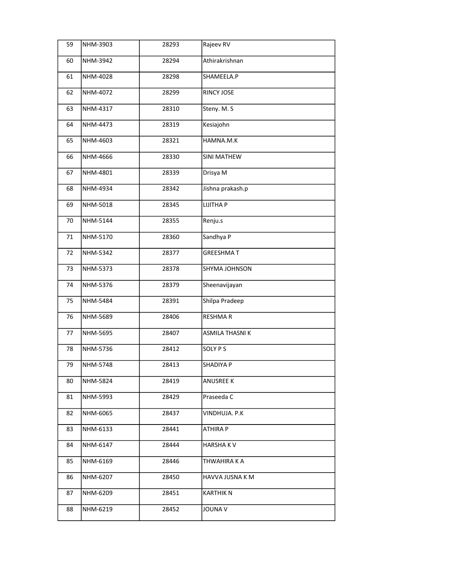| 59 | NHM-3903 | 28293 | Rajeev RV             |
|----|----------|-------|-----------------------|
| 60 | NHM-3942 | 28294 | Athirakrishnan        |
| 61 | NHM-4028 | 28298 | SHAMEELA.P            |
| 62 | NHM-4072 | 28299 | <b>RINCY JOSE</b>     |
| 63 | NHM-4317 | 28310 | Steny. M. S           |
| 64 | NHM-4473 | 28319 | Kesiajohn             |
| 65 | NHM-4603 | 28321 | HAMNA.M.K             |
| 66 | NHM-4666 | 28330 | <b>SINI MATHEW</b>    |
| 67 | NHM-4801 | 28339 | Drisya M              |
| 68 | NHM-4934 | 28342 | Jishna prakash.p      |
| 69 | NHM-5018 | 28345 | <b>LIJITHA P</b>      |
| 70 | NHM-5144 | 28355 | Renju.s               |
| 71 | NHM-5170 | 28360 | Sandhya P             |
| 72 | NHM-5342 | 28377 | <b>GREESHMAT</b>      |
| 73 | NHM-5373 | 28378 | SHYMA JOHNSON         |
| 74 | NHM-5376 | 28379 | Sheenavijayan         |
| 75 | NHM-5484 | 28391 | Shilpa Pradeep        |
| 76 | NHM-5689 | 28406 | <b>RESHMAR</b>        |
| 77 | NHM-5695 | 28407 | <b>ASMILA THASNIK</b> |
| 78 | NHM-5736 | 28412 | <b>SOLY PS</b>        |
| 79 | NHM-5748 | 28413 | SHADIYA P             |
| 80 | NHM-5824 | 28419 | <b>ANUSREE K</b>      |
| 81 | NHM-5993 | 28429 | Praseeda C            |
| 82 | NHM-6065 | 28437 | VINDHUJA. P.K         |
| 83 | NHM-6133 | 28441 | ATHIRA P              |
| 84 | NHM-6147 | 28444 | <b>HARSHAKV</b>       |
| 85 | NHM-6169 | 28446 | THWAHIRA K A          |
| 86 | NHM-6207 | 28450 | HAVVA JUSNA K M       |
| 87 | NHM-6209 | 28451 | KARTHIK N             |
| 88 | NHM-6219 | 28452 | JOUNA V               |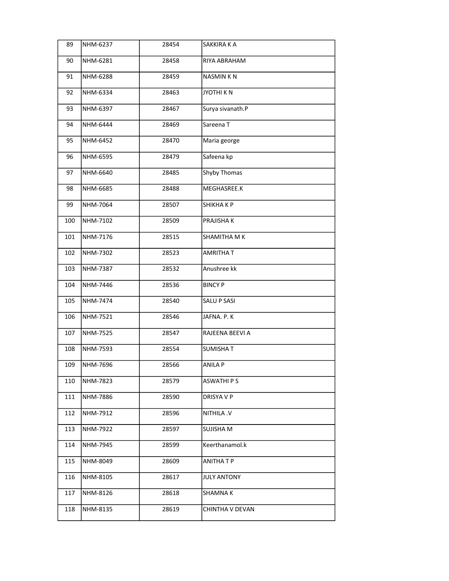| 89  | NHM-6237 | 28454 | SAKKIRA K A            |
|-----|----------|-------|------------------------|
| 90  | NHM-6281 | 28458 | RIYA ABRAHAM           |
| 91  | NHM-6288 | 28459 | <b>NASMINKN</b>        |
| 92  | NHM-6334 | 28463 | <b>JYOTHIKN</b>        |
| 93  | NHM-6397 | 28467 | Surya sivanath.P       |
| 94  | NHM-6444 | 28469 | Sareena T              |
| 95  | NHM-6452 | 28470 | Maria george           |
| 96  | NHM-6595 | 28479 | Safeena kp             |
| 97  | NHM-6640 | 28485 | Shyby Thomas           |
| 98  | NHM-6685 | 28488 | MEGHASREE.K            |
| 99  | NHM-7064 | 28507 | <b><i>SHIKHAKP</i></b> |
| 100 | NHM-7102 | 28509 | PRAJISHA K             |
| 101 | NHM-7176 | 28515 | SHAMITHA M K           |
| 102 | NHM-7302 | 28523 | AMRITHA T              |
| 103 | NHM-7387 | 28532 | Anushree kk            |
| 104 | NHM-7446 | 28536 | <b>BINCY P</b>         |
| 105 | NHM-7474 | 28540 | SALU P SASI            |
| 106 | NHM-7521 | 28546 | JAFNA. P. K            |
| 107 | NHM-7525 | 28547 | RAJEENA BEEVI A        |
| 108 | NHM-7593 | 28554 | <b>SUMISHAT</b>        |
| 109 | NHM-7696 | 28566 | <b>ANILA P</b>         |
| 110 | NHM-7823 | 28579 | ASWATHI P S            |
| 111 | NHM-7886 | 28590 | DRISYA V P             |
| 112 | NHM-7912 | 28596 | <b>NITHILA .V</b>      |
| 113 | NHM-7922 | 28597 | SUJISHA M              |
| 114 | NHM-7945 | 28599 | Keerthanamol.k         |
| 115 | NHM-8049 | 28609 | ANITHA T P             |
| 116 | NHM-8105 | 28617 | <b>JULY ANTONY</b>     |
| 117 | NHM-8126 | 28618 | SHAMNA K               |
| 118 | NHM-8135 | 28619 | CHINTHA V DEVAN        |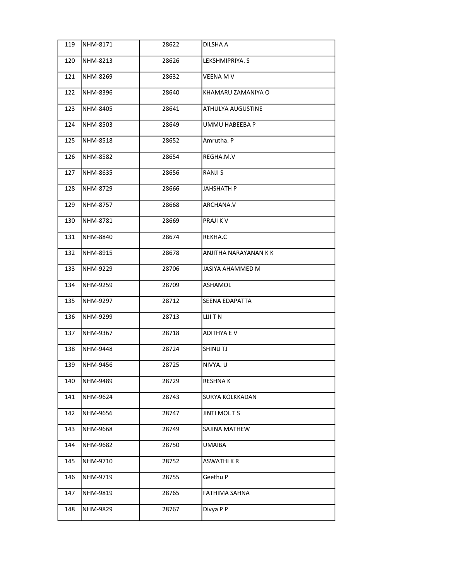| 119 | NHM-8171        | 28622 | DILSHA A              |
|-----|-----------------|-------|-----------------------|
| 120 | NHM-8213        | 28626 | LEKSHMIPRIYA. S       |
| 121 | NHM-8269        | 28632 | VEENA M V             |
| 122 | NHM-8396        | 28640 | KHAMARU ZAMANIYA O    |
| 123 | NHM-8405        | 28641 | ATHULYA AUGUSTINE     |
| 124 | NHM-8503        | 28649 | UMMU HABEEBA P        |
| 125 | <b>NHM-8518</b> | 28652 | Amrutha. P            |
| 126 | NHM-8582        | 28654 | REGHA.M.V             |
| 127 | NHM-8635        | 28656 | RANJI S               |
| 128 | NHM-8729        | 28666 | JAHSHATH P            |
| 129 | NHM-8757        | 28668 | ARCHANA.V             |
| 130 | NHM-8781        | 28669 | PRAJI K V             |
| 131 | NHM-8840        | 28674 | REKHA.C               |
| 132 | NHM-8915        | 28678 | ANJITHA NARAYANAN K K |
| 133 | NHM-9229        | 28706 | JASIYA AHAMMED M      |
| 134 | NHM-9259        | 28709 | ASHAMOL               |
| 135 | NHM-9297        | 28712 | SEENA EDAPATTA        |
| 136 | NHM-9299        | 28713 | LIJI T N              |
| 137 | NHM-9367        | 28718 | <b>ADITHYA E V</b>    |
| 138 | <b>NHM-9448</b> | 28724 | SHINU TJ              |
| 139 | NHM-9456        | 28725 | NIVYA. U              |
| 140 | NHM-9489        | 28729 | RESHNA K              |
| 141 | NHM-9624        | 28743 | SURYA KOLKKADAN       |
| 142 | NHM-9656        | 28747 | <b>JINTI MOLTS</b>    |
| 143 | NHM-9668        | 28749 | SAJINA MATHEW         |
| 144 | NHM-9682        | 28750 | UMAIBA                |
| 145 | NHM-9710        | 28752 | <b>ASWATHI K R</b>    |
| 146 | NHM-9719        | 28755 | Geethu P              |
| 147 | NHM-9819        | 28765 | FATHIMA SAHNA         |
| 148 | NHM-9829        | 28767 | Divya P P             |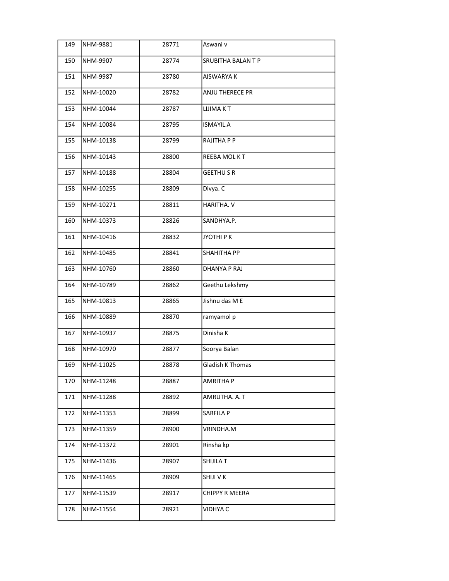| 149 | NHM-9881  | 28771 | Aswani v                  |
|-----|-----------|-------|---------------------------|
| 150 | NHM-9907  | 28774 | <b>SRUBITHA BALAN T P</b> |
| 151 | NHM-9987  | 28780 | <b>AISWARYA K</b>         |
| 152 | NHM-10020 | 28782 | <b>ANJU THERECE PR</b>    |
| 153 | NHM-10044 | 28787 | LIJIMA KT                 |
| 154 | NHM-10084 | 28795 | ISMAYIL.A                 |
| 155 | NHM-10138 | 28799 | RAJITHA P P               |
| 156 | NHM-10143 | 28800 | REEBA MOLKT               |
| 157 | NHM-10188 | 28804 | <b>GEETHUSR</b>           |
| 158 | NHM-10255 | 28809 | Divya. C                  |
| 159 | NHM-10271 | 28811 | HARITHA. V                |
| 160 | NHM-10373 | 28826 | SANDHYA.P.                |
| 161 | NHM-10416 | 28832 | ЈУОТНІ Р К                |
| 162 | NHM-10485 | 28841 | SHAHITHA PP               |
| 163 | NHM-10760 | 28860 | <b>DHANYA P RAJ</b>       |
| 164 | NHM-10789 | 28862 | Geethu Lekshmy            |
| 165 | NHM-10813 | 28865 | Jishnu das M E            |
| 166 | NHM-10889 | 28870 | ramyamol p                |
| 167 | NHM-10937 | 28875 | Dinisha K                 |
| 168 | NHM-10970 | 28877 | Soorya Balan              |
| 169 | NHM-11025 | 28878 | <b>Gladish K Thomas</b>   |
| 170 | NHM-11248 | 28887 | <b>AMRITHA P</b>          |
| 171 | NHM-11288 | 28892 | AMRUTHA. A. T             |
| 172 | NHM-11353 | 28899 | SARFILA P                 |
| 173 | NHM-11359 | 28900 | VRINDHA.M                 |
| 174 | NHM-11372 | 28901 | Rinsha kp                 |
| 175 | NHM-11436 | 28907 | SHIJILA T                 |
| 176 | NHM-11465 | 28909 | SHIJI V K                 |
| 177 | NHM-11539 | 28917 | CHIPPY R MEERA            |
| 178 | NHM-11554 | 28921 | <b>VIDHYA C</b>           |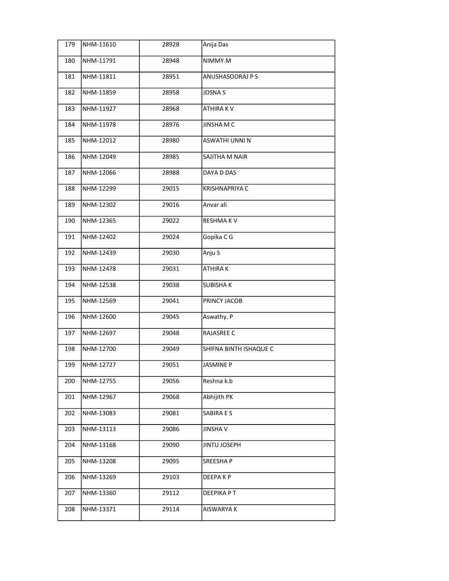| 179 | NHM-11610 | 28928 | Anija Das              |
|-----|-----------|-------|------------------------|
| 180 | NHM-11791 | 28948 | NIMMY.M                |
| 181 | NHM-11811 | 28951 | ANUSHASOORAJ P S       |
| 182 | NHM-11859 | 28958 | JOSNA S                |
| 183 | NHM-11927 | 28968 | ATHIRA KV              |
| 184 | NHM-11978 | 28976 | JINSHA M C             |
| 185 | NHM-12012 | 28980 | ASWATHI UNNI N         |
| 186 | NHM-12049 | 28985 | SAJITHA M NAIR         |
| 187 | NHM-12066 | 28988 | DAYA D DAS             |
| 188 | NHM-12299 | 29015 | <b>KRISHNAPRIYA C</b>  |
| 189 | NHM-12302 | 29016 | Anvar ali              |
| 190 | NHM-12365 | 29022 | <b>RESHMAKV</b>        |
| 191 | NHM-12402 | 29024 | Gopika C G             |
| 192 | NHM-12439 | 29030 | Anju S                 |
| 193 | NHM-12478 | 29031 | ATHIRAK                |
| 194 | NHM-12538 | 29038 | <b>SUBISHAK</b>        |
| 195 | NHM-12569 | 29041 | PRINCY JACOB           |
| 196 | NHM-12600 | 29045 | Aswathy. P             |
| 197 | NHM-12697 | 29048 | RAJASREE C             |
| 198 | NHM-12700 | 29049 | SHIFNA BINTH ISHAQUE C |
| 199 | NHM-12727 | 29051 | <b>JASMINE P</b>       |
| 200 | NHM-12755 | 29056 | Reshna k.b             |
| 201 | NHM-12967 | 29068 | Abhijith PK            |
| 202 | NHM-13083 | 29081 | SABIRA E S             |
| 203 | NHM-13113 | 29086 | <b>JINSHAV</b>         |
| 204 | NHM-13168 | 29090 | <b>JINTU JOSEPH</b>    |
| 205 | NHM-13208 | 29095 | <b>SREESHAP</b>        |
| 206 | NHM-13269 | 29103 | DEEPA K P              |
| 207 | NHM-13360 | 29112 | DEEPIKA P T            |
| 208 | NHM-13371 | 29114 | AISWARYA K             |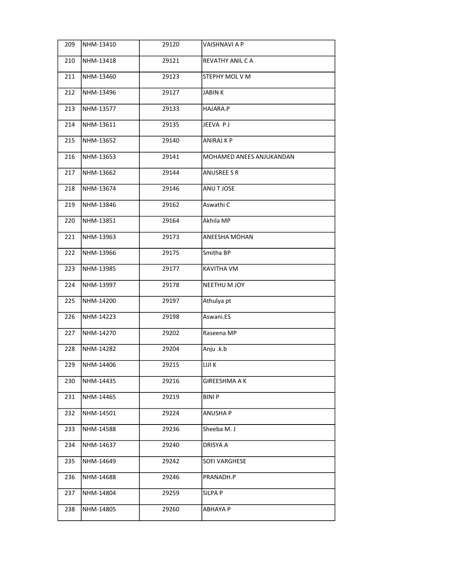| 209 | NHM-13410 | 29120 | VAISHNAVI A P            |
|-----|-----------|-------|--------------------------|
| 210 | NHM-13418 | 29121 | REVATHY ANIL CA          |
| 211 | NHM-13460 | 29123 | STEPHY MOL V M           |
| 212 | NHM-13496 | 29127 | <b>JABINK</b>            |
| 213 | NHM-13577 | 29133 | HAJARA.P                 |
| 214 | NHM-13611 | 29135 | JEEVA PJ                 |
| 215 | NHM-13652 | 29140 | <b>ANIRAJ K P</b>        |
| 216 | NHM-13653 | 29141 | MOHAMED ANEES ANJUKANDAN |
| 217 | NHM-13662 | 29144 | ANUSREE S R              |
| 218 | NHM-13674 | 29146 | ANU T JOSE               |
| 219 | NHM-13846 | 29162 | Aswathi C                |
| 220 | NHM-13851 | 29164 | Akhila MP                |
| 221 | NHM-13963 | 29173 | ANEESHA MOHAN            |
| 222 | NHM-13966 | 29175 | Smitha BP                |
| 223 | NHM-13985 | 29177 | KAVITHA VM               |
| 224 | NHM-13997 | 29178 | NEETHU M JOY             |
| 225 | NHM-14200 | 29197 | Athulya pt               |
| 226 | NHM-14223 | 29198 | Aswani.ES                |
| 227 | NHM-14270 | 29202 | Raseena MP               |
| 228 | NHM-14282 | 29204 | Anju .k.b                |
| 229 | NHM-14406 | 29215 | LIJI K                   |
| 230 | NHM-14435 | 29216 | GIREESHMA A K            |
| 231 | NHM-14465 | 29219 | BINI P                   |
| 232 | NHM-14501 | 29224 | <b>ANUSHA P</b>          |
| 233 | NHM-14588 | 29236 | Sheeba M. J              |
| 234 | NHM-14637 | 29240 | DRISYA A                 |
| 235 | NHM-14649 | 29242 | SOFI VARGHESE            |
| 236 | NHM-14688 | 29246 | PRANADH.P                |
| 237 | NHM-14804 | 29259 | SILPA P                  |
| 238 | NHM-14805 | 29260 | <b>ABHAYA P</b>          |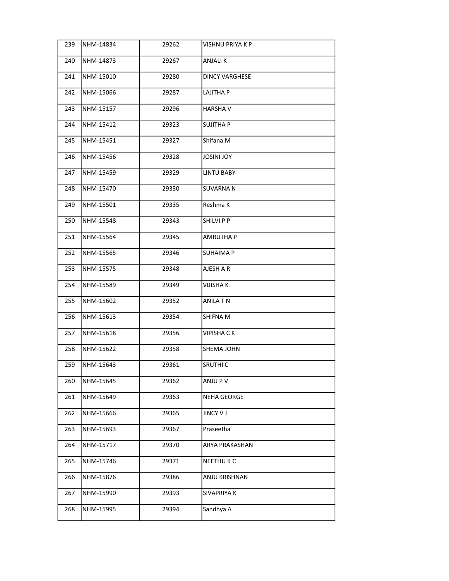| 239 | NHM-14834 | 29262 | <b>VISHNU PRIYA K P</b> |
|-----|-----------|-------|-------------------------|
| 240 | NHM-14873 | 29267 | <b>ANJALIK</b>          |
| 241 | NHM-15010 | 29280 | <b>DINCY VARGHESE</b>   |
| 242 | NHM-15066 | 29287 | LAJITHA P               |
| 243 | NHM-15157 | 29296 | <b>HARSHAV</b>          |
| 244 | NHM-15412 | 29323 | SUJITHA P               |
| 245 | NHM-15451 | 29327 | Shifana.M               |
| 246 | NHM-15456 | 29328 | <b>YOL INIZOL</b>       |
| 247 | NHM-15459 | 29329 | LINTU BABY              |
| 248 | NHM-15470 | 29330 | <b>SUVARNAN</b>         |
| 249 | NHM-15501 | 29335 | Reshma K                |
| 250 | NHM-15548 | 29343 | SHILVI P P              |
| 251 | NHM-15564 | 29345 | <b>AMRUTHA P</b>        |
| 252 | NHM-15565 | 29346 | SUHAIMA P               |
| 253 | NHM-15575 | 29348 | AJESH A R               |
| 254 | NHM-15589 | 29349 | VIJISHA K               |
| 255 | NHM-15602 | 29352 | <b>ANILA T N</b>        |
| 256 | NHM-15613 | 29354 | SHIFNA M                |
| 257 | NHM-15618 | 29356 | <b>VIPISHA CK</b>       |
| 258 | NHM-15622 | 29358 | SHEMA JOHN              |
| 259 | NHM-15643 | 29361 | SRUTHI C                |
| 260 | NHM-15645 | 29362 | ANJU P V                |
| 261 | NHM-15649 | 29363 | NEHA GEORGE             |
| 262 | NHM-15666 | 29365 | <b>JINCY V J</b>        |
| 263 | NHM-15693 | 29367 | Praseetha               |
| 264 | NHM-15717 | 29370 | ARYA PRAKASHAN          |
| 265 | NHM-15746 | 29371 | <b>NEETHUKC</b>         |
| 266 | NHM-15876 | 29386 | ANJU KRISHNAN           |
| 267 | NHM-15990 | 29393 | SIVAPRIYA K             |
| 268 | NHM-15995 | 29394 | Sandhya A               |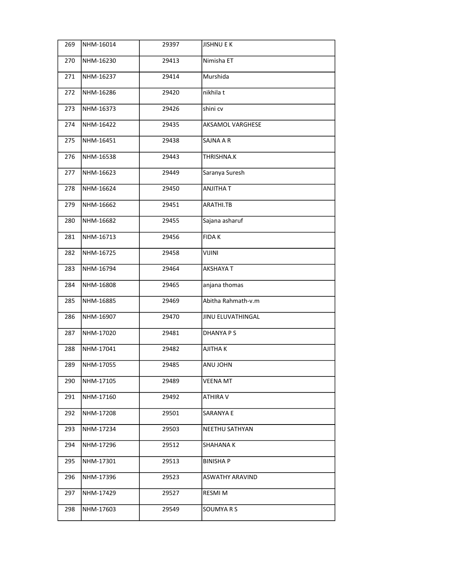| 269 | NHM-16014 | 29397 | JISHNU E K              |
|-----|-----------|-------|-------------------------|
| 270 | NHM-16230 | 29413 | Nimisha ET              |
| 271 | NHM-16237 | 29414 | Murshida                |
| 272 | NHM-16286 | 29420 | nikhila t               |
| 273 | NHM-16373 | 29426 | shini cv                |
| 274 | NHM-16422 | 29435 | <b>AKSAMOL VARGHESE</b> |
| 275 | NHM-16451 | 29438 | SAJNA A R               |
| 276 | NHM-16538 | 29443 | THRISHNA.K              |
| 277 | NHM-16623 | 29449 | Saranya Suresh          |
| 278 | NHM-16624 | 29450 | ANJITHA T               |
| 279 | NHM-16662 | 29451 | ARATHI.TB               |
| 280 | NHM-16682 | 29455 | Sajana asharuf          |
| 281 | NHM-16713 | 29456 | <b>FIDAK</b>            |
| 282 | NHM-16725 | 29458 | <b>VIJINI</b>           |
| 283 | NHM-16794 | 29464 | <b>AKSHAYA T</b>        |
| 284 | NHM-16808 | 29465 | anjana thomas           |
| 285 | NHM-16885 | 29469 | Abitha Rahmath-v.m      |
| 286 | NHM-16907 | 29470 | JINU ELUVATHINGAL       |
| 287 | NHM-17020 | 29481 | <b>DHANYA P S</b>       |
| 288 | NHM-17041 | 29482 | <b>AJITHAK</b>          |
| 289 | NHM-17055 | 29485 | ANU JOHN                |
| 290 | NHM-17105 | 29489 | <b>VEENA MT</b>         |
| 291 | NHM-17160 | 29492 | ATHIRA V                |
| 292 | NHM-17208 | 29501 | SARANYA E               |
| 293 | NHM-17234 | 29503 | NEETHU SATHYAN          |
| 294 | NHM-17296 | 29512 | <b>SHAHANA K</b>        |
| 295 | NHM-17301 | 29513 | BINISHA P               |
| 296 | NHM-17396 | 29523 | ASWATHY ARAVIND         |
| 297 | NHM-17429 | 29527 | RESMI M                 |
| 298 | NHM-17603 | 29549 | SOUMYA R S              |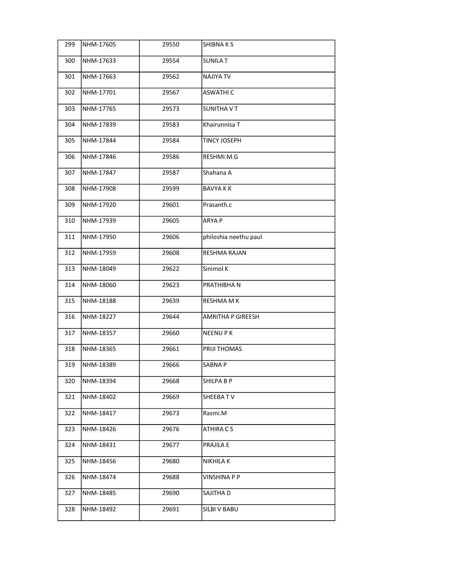| 299 | NHM-17605 | 29550 | SHIBNA K S            |
|-----|-----------|-------|-----------------------|
| 300 | NHM-17633 | 29554 | SUNILA T              |
| 301 | NHM-17663 | 29562 | <b>NAJIYA TV</b>      |
| 302 | NHM-17701 | 29567 | <b>ASWATHI C</b>      |
| 303 | NHM-17765 | 29573 | <b>SUNITHA V T</b>    |
| 304 | NHM-17839 | 29583 | Khairunnisa T         |
| 305 | NHM-17844 | 29584 | <b>TINCY JOSEPH</b>   |
| 306 | NHM-17846 | 29586 | RESHMI.M.G            |
| 307 | NHM-17847 | 29587 | Shahana A             |
| 308 | NHM-17908 | 29599 | <b>BAVYAKK</b>        |
| 309 | NHM-17920 | 29601 | Prasanth.c            |
| 310 | NHM-17939 | 29605 | <b>ARYAP</b>          |
| 311 | NHM-17950 | 29606 | philoshia neethu paul |
| 312 | NHM-17959 | 29608 | <b>RESHMA RAJAN</b>   |
| 313 | NHM-18049 | 29622 | Sinimol K             |
| 314 | NHM-18060 | 29623 | PRATHIBHA N           |
| 315 | NHM-18188 | 29639 | <b>RESHMA M K</b>     |
| 316 | NHM-18227 | 29644 | AMRITHA P GIREESH     |
| 317 | NHM-18357 | 29660 | <b>NEENUPK</b>        |
| 318 | NHM-18365 | 29661 | <b>PRIJI THOMAS</b>   |
| 319 | NHM-18389 | 29666 | SABNA P               |
| 320 | NHM-18394 | 29668 | SHILPA B P            |
| 321 | NHM-18402 | 29669 | SHEEBATV              |
| 322 | NHM-18417 | 29673 | Rasmi.M               |
| 323 | NHM-18426 | 29676 | ATHIRA C S            |
| 324 | NHM-18431 | 29677 | PRAJILA E             |
| 325 | NHM-18456 | 29680 | <b>NIKHILA K</b>      |
| 326 | NHM-18474 | 29688 | VINSHINA P P          |
| 327 | NHM-18485 | 29690 | SAJITHA D             |
| 328 | NHM-18492 | 29691 | SILBI V BABU          |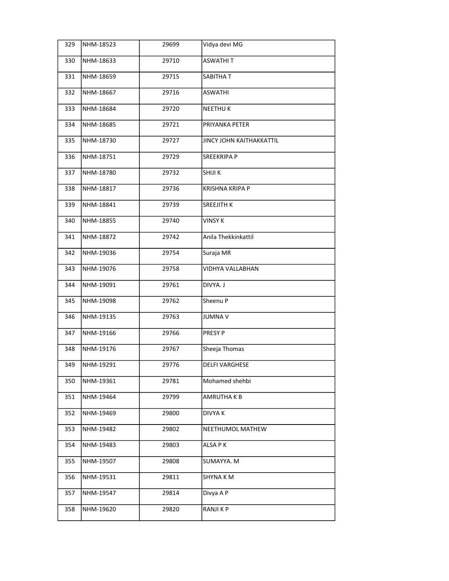| 329 | NHM-18523 | 29699 | Vidya devi MG            |
|-----|-----------|-------|--------------------------|
| 330 | NHM-18633 | 29710 | <b>ASWATHIT</b>          |
| 331 | NHM-18659 | 29715 | SABITHA T                |
| 332 | NHM-18667 | 29716 | <b>ASWATHI</b>           |
| 333 | NHM-18684 | 29720 | <b>NEETHUK</b>           |
| 334 | NHM-18685 | 29721 | PRIYANKA PETER           |
| 335 | NHM-18730 | 29727 | JINCY JOHN KAITHAKKATTIL |
| 336 | NHM-18751 | 29729 | <b>SREEKRIPA P</b>       |
| 337 | NHM-18780 | 29732 | SHIJI K                  |
| 338 | NHM-18817 | 29736 | <b>KRISHNA KRIPA P</b>   |
| 339 | NHM-18841 | 29739 | <b>SREEJITH K</b>        |
| 340 | NHM-18855 | 29740 | <b>VINSY K</b>           |
| 341 | NHM-18872 | 29742 | Anila Thekkinkattil      |
| 342 | NHM-19036 | 29754 | Suraja MR                |
| 343 | NHM-19076 | 29758 | VIDHYA VALLABHAN         |
| 344 | NHM-19091 | 29761 | DIVYA. J                 |
| 345 | NHM-19098 | 29762 | Sheenu P                 |
| 346 | NHM-19135 | 29763 | <b>JUMNAV</b>            |
| 347 | NHM-19166 | 29766 | PRESY P                  |
| 348 | NHM-19176 | 29767 | Sheeja Thomas            |
| 349 | NHM-19291 | 29776 | <b>DELFI VARGHESE</b>    |
| 350 | NHM-19361 | 29781 | Mohamed shehbi           |
| 351 | NHM-19464 | 29799 | AMRUTHA K B              |
| 352 | NHM-19469 | 29800 | DIVYA K                  |
| 353 | NHM-19482 | 29802 | NEETHUMOL MATHEW         |
| 354 | NHM-19483 | 29803 | ALSA PK                  |
| 355 | NHM-19507 | 29808 | SUMAYYA. M               |
| 356 | NHM-19531 | 29811 | SHYNA KM                 |
| 357 | NHM-19547 | 29814 | Divya A P                |
| 358 | NHM-19620 | 29820 | RANJI K P                |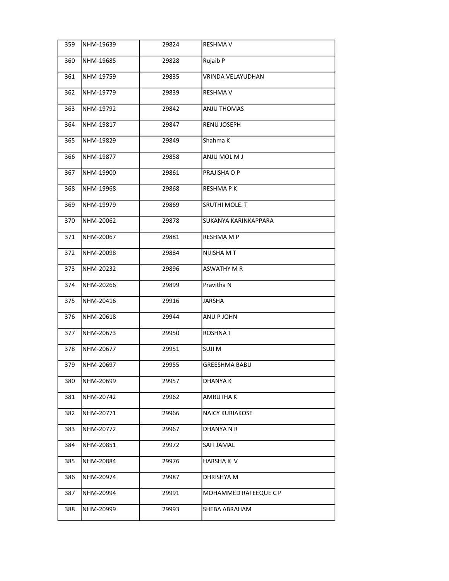| 359 | NHM-19639 | 29824 | <b>RESHMA V</b>        |
|-----|-----------|-------|------------------------|
| 360 | NHM-19685 | 29828 | Rujaib P               |
| 361 | NHM-19759 | 29835 | VRINDA VELAYUDHAN      |
| 362 | NHM-19779 | 29839 | RESHMA V               |
| 363 | NHM-19792 | 29842 | <b>ANJU THOMAS</b>     |
| 364 | NHM-19817 | 29847 | RENU JOSEPH            |
| 365 | NHM-19829 | 29849 | Shahma K               |
| 366 | NHM-19877 | 29858 | ANJU MOL M J           |
| 367 | NHM-19900 | 29861 | PRAJISHA O P           |
| 368 | NHM-19968 | 29868 | <b>RESHMAPK</b>        |
| 369 | NHM-19979 | 29869 | SRUTHI MOLE. T         |
| 370 | NHM-20062 | 29878 | SUKANYA KARINKAPPARA   |
| 371 | NHM-20067 | 29881 | <b>RESHMA M P</b>      |
| 372 | NHM-20098 | 29884 | NIJISHA MT             |
| 373 | NHM-20232 | 29896 | <b>ASWATHY M R</b>     |
| 374 | NHM-20266 | 29899 | Pravitha N             |
| 375 | NHM-20416 | 29916 | JARSHA                 |
| 376 | NHM-20618 | 29944 | ANU P JOHN             |
| 377 | NHM-20673 | 29950 | <b>ROSHNAT</b>         |
| 378 | NHM-20677 | 29951 | <b>SUJIM</b>           |
| 379 | NHM-20697 | 29955 | GREESHMA BABU          |
| 380 | NHM-20699 | 29957 | DHANYA K               |
| 381 | NHM-20742 | 29962 | AMRUTHA K              |
| 382 | NHM-20771 | 29966 | <b>NAICY KURIAKOSE</b> |
| 383 | NHM-20772 | 29967 | DHANYA N R             |
| 384 | NHM-20851 | 29972 | SAFI JAMAL             |
| 385 | NHM-20884 | 29976 | HARSHA K V             |
| 386 | NHM-20974 | 29987 | DHRISHYA M             |
| 387 | NHM-20994 | 29991 | MOHAMMED RAFEEQUE C P  |
| 388 | NHM-20999 | 29993 | SHEBA ABRAHAM          |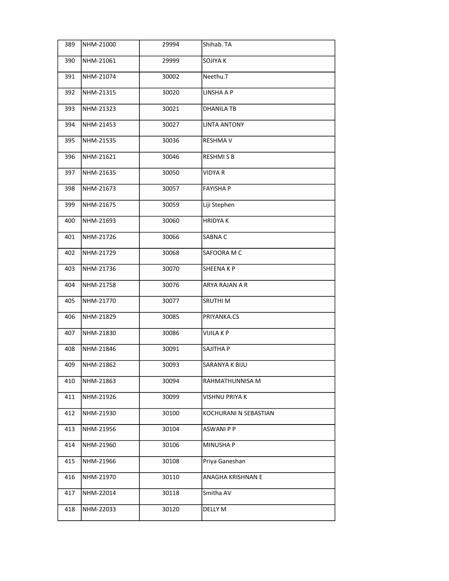| 389 | NHM-21000 | 29994 | Shihab. TA            |
|-----|-----------|-------|-----------------------|
| 390 | NHM-21061 | 29999 | SOJIYA K              |
| 391 | NHM-21074 | 30002 | Neethu.T              |
| 392 | NHM-21315 | 30020 | LINSHA A P            |
| 393 | NHM-21323 | 30021 | <b>DHANILA TB</b>     |
| 394 | NHM-21453 | 30027 | <b>LINTA ANTONY</b>   |
| 395 | NHM-21535 | 30036 | <b>RESHMA V</b>       |
| 396 | NHM-21621 | 30046 | <b>RESHMISB</b>       |
| 397 | NHM-21635 | 30050 | <b>VIDYA R</b>        |
| 398 | NHM-21673 | 30057 | <b>FAYISHA P</b>      |
| 399 | NHM-21675 | 30059 | Liji Stephen          |
| 400 | NHM-21693 | 30060 | <b>HRIDYAK</b>        |
| 401 | NHM-21726 | 30066 | SABNA C               |
| 402 | NHM-21729 | 30068 | SAFOORA M C           |
| 403 | NHM-21736 | 30070 | <b>SHEENAKP</b>       |
| 404 | NHM-21758 | 30076 | ARYA RAJAN A R        |
| 405 | NHM-21770 | 30077 | SRUTHI M              |
| 406 | NHM-21829 | 30085 | PRIYANKA.CS           |
| 407 | NHM-21830 | 30086 | <b>VIJILA K P</b>     |
| 408 | NHM-21846 | 30091 | SAJITHA P             |
| 409 | NHM-21862 | 30093 | SARANYA K BIJU        |
| 410 | NHM-21863 | 30094 | RAHMATHUNNISA M       |
| 411 | NHM-21926 | 30099 | VISHNU PRIYA K        |
| 412 | NHM-21930 | 30100 | KOCHURANI N SEBASTIAN |
| 413 | NHM-21956 | 30104 | <b>ASWANI P P</b>     |
| 414 | NHM-21960 | 30106 | MINUSHA P             |
| 415 | NHM-21966 | 30108 | Priya Ganeshan        |
| 416 | NHM-21970 | 30110 | ANAGHA KRISHNAN E     |
| 417 | NHM-22014 | 30118 | Smitha AV             |
| 418 | NHM-22033 | 30120 | DELLY M               |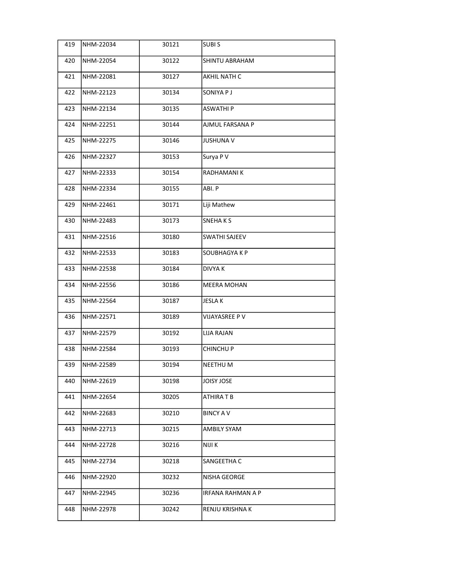| 419 | NHM-22034 | 30121 | <b>SUBIS</b>         |
|-----|-----------|-------|----------------------|
| 420 | NHM-22054 | 30122 | SHINTU ABRAHAM       |
| 421 | NHM-22081 | 30127 | AKHIL NATH C         |
| 422 | NHM-22123 | 30134 | SONIYA P J           |
| 423 | NHM-22134 | 30135 | <b>ASWATHI P</b>     |
| 424 | NHM-22251 | 30144 | AJMUL FARSANA P      |
| 425 | NHM-22275 | 30146 | <b>JUSHUNA V</b>     |
| 426 | NHM-22327 | 30153 | Surya P V            |
| 427 | NHM-22333 | 30154 | RADHAMANI K          |
| 428 | NHM-22334 | 30155 | ABI. P               |
| 429 | NHM-22461 | 30171 | Liji Mathew          |
| 430 | NHM-22483 | 30173 | SNEHAKS              |
| 431 | NHM-22516 | 30180 | <b>SWATHI SAJEEV</b> |
| 432 | NHM-22533 | 30183 | SOUBHAGYA K P        |
| 433 | NHM-22538 | 30184 | <b>DIVYA K</b>       |
| 434 | NHM-22556 | 30186 | <b>MEERA MOHAN</b>   |
| 435 | NHM-22564 | 30187 | <b>JESLAK</b>        |
| 436 | NHM-22571 | 30189 | VIJAYASREE P V       |
| 437 | NHM-22579 | 30192 | LIJA RAJAN           |
| 438 | NHM-22584 | 30193 | <b>CHINCHUP</b>      |
| 439 | NHM-22589 | 30194 | <b>NEETHU M</b>      |
| 440 | NHM-22619 | 30198 | JOISY JOSE           |
| 441 | NHM-22654 | 30205 | ATHIRA T B           |
| 442 | NHM-22683 | 30210 | <b>BINCY AV</b>      |
| 443 | NHM-22713 | 30215 | AMBILY SYAM          |
| 444 | NHM-22728 | 30216 | NIJI K               |
| 445 | NHM-22734 | 30218 | SANGEETHA C          |
| 446 | NHM-22920 | 30232 | NISHA GEORGE         |
| 447 | NHM-22945 | 30236 | IRFANA RAHMAN A P    |
| 448 | NHM-22978 | 30242 | RENJU KRISHNA K      |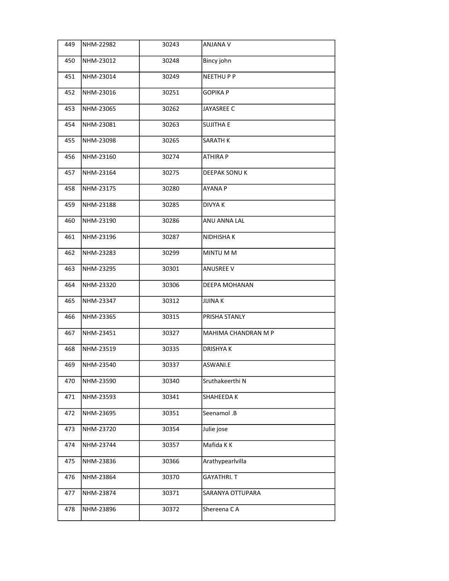| 449 | NHM-22982 | 30243 | <b>ANJANA V</b>     |
|-----|-----------|-------|---------------------|
| 450 | NHM-23012 | 30248 | Bincy john          |
| 451 | NHM-23014 | 30249 | <b>NEETHUPP</b>     |
| 452 | NHM-23016 | 30251 | <b>GOPIKA P</b>     |
| 453 | NHM-23065 | 30262 | JAYASREE C          |
| 454 | NHM-23081 | 30263 | <b>SUJITHA E</b>    |
| 455 | NHM-23098 | 30265 | <b>SARATH K</b>     |
| 456 | NHM-23160 | 30274 | <b>ATHIRA P</b>     |
| 457 | NHM-23164 | 30275 | DEEPAK SONU K       |
| 458 | NHM-23175 | 30280 | layana p            |
| 459 | NHM-23188 | 30285 | <b>DIVYAK</b>       |
| 460 | NHM-23190 | 30286 | <b>ANU ANNA LAL</b> |
| 461 | NHM-23196 | 30287 | NIDHISHA K          |
| 462 | NHM-23283 | 30299 | MINTU M M           |
| 463 | NHM-23295 | 30301 | <b>ANUSREE V</b>    |
| 464 | NHM-23320 | 30306 | DEEPA MOHANAN       |
| 465 | NHM-23347 | 30312 | JIJINA K            |
| 466 | NHM-23365 | 30315 | PRISHA STANLY       |
| 467 | NHM-23451 | 30327 | MAHIMA CHANDRAN M P |
| 468 | NHM-23519 | 30335 | <b>DRISHYAK</b>     |
| 469 | NHM-23540 | 30337 | ASWANI.E            |
| 470 | NHM-23590 | 30340 | Sruthakeerthi N     |
| 471 | NHM-23593 | 30341 | SHAHEEDA K          |
| 472 | NHM-23695 | 30351 | Seenamol .B         |
| 473 | NHM-23720 | 30354 | Julie jose          |
| 474 | NHM-23744 | 30357 | Mafida K K          |
| 475 | NHM-23836 | 30366 | Arathypearlvilla    |
| 476 | NHM-23864 | 30370 | <b>GAYATHRI. T</b>  |
| 477 | NHM-23874 | 30371 | SARANYA OTTUPARA    |
| 478 | NHM-23896 | 30372 | Shereena CA         |
|     |           |       |                     |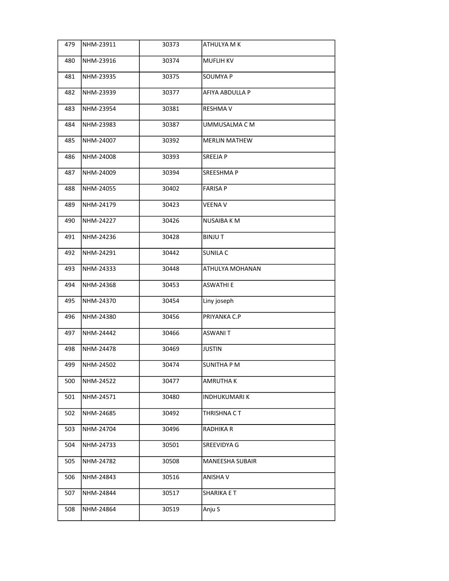| 479 | NHM-23911 | 30373 | ATHULYA M K          |
|-----|-----------|-------|----------------------|
| 480 | NHM-23916 | 30374 | <b>MUFLIH KV</b>     |
| 481 | NHM-23935 | 30375 | SOUMYA P             |
| 482 | NHM-23939 | 30377 | AFIYA ABDULLA P      |
| 483 | NHM-23954 | 30381 | <b>RESHMAV</b>       |
| 484 | NHM-23983 | 30387 | UMMUSALMA C M        |
| 485 | NHM-24007 | 30392 | <b>MERLIN MATHEW</b> |
| 486 | NHM-24008 | 30393 | <b>SREEJAP</b>       |
| 487 | NHM-24009 | 30394 | <b>SREESHMAP</b>     |
| 488 | NHM-24055 | 30402 | FARISA P             |
| 489 | NHM-24179 | 30423 | <b>VEENA V</b>       |
| 490 | NHM-24227 | 30426 | <b>NUSAIBA KM</b>    |
| 491 | NHM-24236 | 30428 | <b>BINJUT</b>        |
| 492 | NHM-24291 | 30442 | <b>SUNILA C</b>      |
| 493 | NHM-24333 | 30448 | ATHULYA MOHANAN      |
| 494 | NHM-24368 | 30453 | ASWATHI E            |
| 495 | NHM-24370 | 30454 | Liny joseph          |
| 496 | NHM-24380 | 30456 | PRIYANKA C.P         |
| 497 | NHM-24442 | 30466 | ASWANI T             |
| 498 | NHM-24478 | 30469 | JUSTIN               |
| 499 | NHM-24502 | 30474 | SUNITHA P M          |
| 500 | NHM-24522 | 30477 | AMRUTHA K            |
| 501 | NHM-24571 | 30480 | <b>INDHUKUMARIK</b>  |
| 502 | NHM-24685 | 30492 | THRISHNA C T         |
| 503 | NHM-24704 | 30496 | RADHIKA R            |
| 504 | NHM-24733 | 30501 | SREEVIDYA G          |
| 505 | NHM-24782 | 30508 | MANEESHA SUBAIR      |
| 506 | NHM-24843 | 30516 | ANISHA V             |
| 507 | NHM-24844 | 30517 | SHARIKA E T          |
| 508 | NHM-24864 | 30519 | Anju S               |
|     |           |       |                      |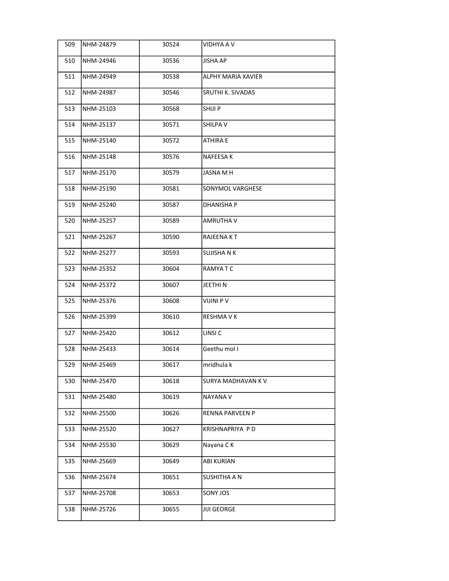| 509 | NHM-24879 | 30524 | <b>VIDHYA A V</b>      |
|-----|-----------|-------|------------------------|
| 510 | NHM-24946 | 30536 | <b>JISHA AP</b>        |
| 511 | NHM-24949 | 30538 | ALPHY MARIA XAVIER     |
| 512 | NHM-24987 | 30546 | SRUTHI K. SIVADAS      |
| 513 | NHM-25103 | 30568 | SHIJI P                |
| 514 | NHM-25137 | 30571 | SHILPA V               |
| 515 | NHM-25140 | 30572 | <b>ATHIRA E</b>        |
| 516 | NHM-25148 | 30576 | NAFEESA K              |
| 517 | NHM-25170 | 30579 | JASNA M H              |
| 518 | NHM-25190 | 30581 | SONYMOL VARGHESE       |
| 519 | NHM-25240 | 30587 | <b>DHANISHAP</b>       |
| 520 | NHM-25257 | 30589 | AMRUTHA V              |
| 521 | NHM-25267 | 30590 | RAJEENA KT             |
| 522 | NHM-25277 | 30593 | <b>SUJISHANK</b>       |
| 523 | NHM-25352 | 30604 | RAMYA T C              |
| 524 | NHM-25372 | 30607 | JEETHI N               |
| 525 | NHM-25376 | 30608 | VIJINI P V             |
| 526 | NHM-25399 | 30610 | <b>RESHMAVK</b>        |
| 527 | NHM-25420 | 30612 | LINSI <sub>C</sub>     |
| 528 | NHM-25433 | 30614 | Geethu mol I           |
| 529 | NHM-25469 | 30617 | mridhula k             |
| 530 | NHM-25470 | 30618 | SURYA MADHAVAN K V     |
| 531 | NHM-25480 | 30619 | NAYANA V               |
| 532 | NHM-25500 | 30626 | <b>RENNA PARVEEN P</b> |
| 533 | NHM-25520 | 30627 | KRISHNAPRIYA P D       |
| 534 | NHM-25530 | 30629 | Nayana CK              |
| 535 | NHM-25669 | 30649 | <b>ABI KURIAN</b>      |
| 536 | NHM-25674 | 30651 | SUSHITHA A N           |
| 537 | NHM-25708 | 30653 | SONY JOS               |
| 538 | NHM-25726 | 30655 | <b>JIJI GEORGE</b>     |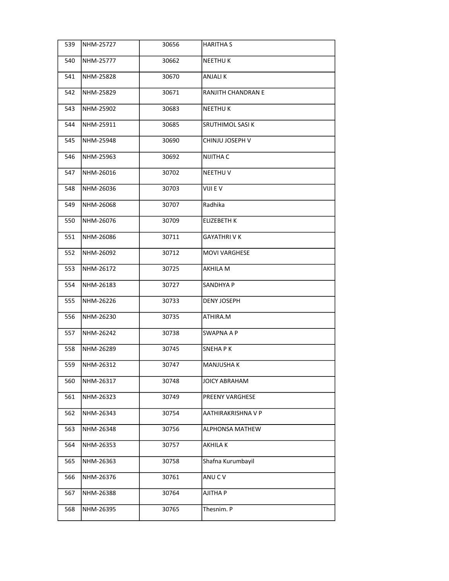| 539 | NHM-25727 | 30656 | <b>HARITHAS</b>           |
|-----|-----------|-------|---------------------------|
| 540 | NHM-25777 | 30662 | <b>NEETHUK</b>            |
| 541 | NHM-25828 | 30670 | ANJALI K                  |
| 542 | NHM-25829 | 30671 | <b>RANJITH CHANDRAN E</b> |
| 543 | NHM-25902 | 30683 | <b>NEETHUK</b>            |
| 544 | NHM-25911 | 30685 | SRUTHIMOL SASI K          |
| 545 | NHM-25948 | 30690 | CHINJU JOSEPH V           |
| 546 | NHM-25963 | 30692 | NIJITHA C                 |
| 547 | NHM-26016 | 30702 | <b>NEETHU V</b>           |
| 548 | NHM-26036 | 30703 | VIJI E V                  |
| 549 | NHM-26068 | 30707 | Radhika                   |
| 550 | NHM-26076 | 30709 | <b>ELIZEBETH K</b>        |
| 551 | NHM-26086 | 30711 | <b>GAYATHRIVK</b>         |
| 552 | NHM-26092 | 30712 | <b>MOVI VARGHESE</b>      |
| 553 | NHM-26172 | 30725 | AKHILA M                  |
| 554 | NHM-26183 | 30727 | SANDHYA P                 |
| 555 | NHM-26226 | 30733 | <b>DENY JOSEPH</b>        |
| 556 | NHM-26230 | 30735 | ATHIRA.M                  |
| 557 | NHM-26242 | 30738 | SWAPNA A P                |
| 558 | NHM-26289 | 30745 | <b>SNEHAPK</b>            |
| 559 | NHM-26312 | 30747 | <b>MANJUSHA K</b>         |
| 560 | NHM-26317 | 30748 | JOICY ABRAHAM             |
| 561 | NHM-26323 | 30749 | <b>PREENY VARGHESE</b>    |
| 562 | NHM-26343 | 30754 | AATHIRAKRISHNA V P        |
| 563 | NHM-26348 | 30756 | ALPHONSA MATHEW           |
| 564 | NHM-26353 | 30757 | <b>AKHILAK</b>            |
| 565 | NHM-26363 | 30758 | Shafna Kurumbayil         |
| 566 | NHM-26376 | 30761 | ANU C V                   |
| 567 | NHM-26388 | 30764 | AJITHA P                  |
| 568 | NHM-26395 | 30765 | Thesnim. P                |
|     |           |       |                           |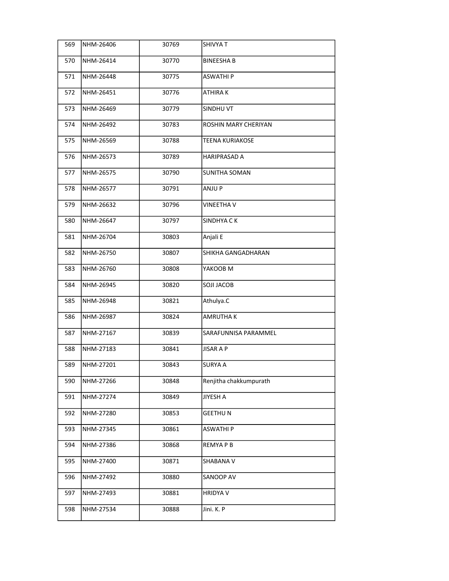| 569 | NHM-26406 | 30769 | SHIVYA T               |
|-----|-----------|-------|------------------------|
| 570 | NHM-26414 | 30770 | <b>BINEESHAB</b>       |
| 571 | NHM-26448 | 30775 | <b>ASWATHIP</b>        |
| 572 | NHM-26451 | 30776 | <b>ATHIRAK</b>         |
| 573 | NHM-26469 | 30779 | SINDHU VT              |
| 574 | NHM-26492 | 30783 | ROSHIN MARY CHERIYAN   |
| 575 | NHM-26569 | 30788 | <b>TEENA KURIAKOSE</b> |
| 576 | NHM-26573 | 30789 | <b>HARIPRASAD A</b>    |
| 577 | NHM-26575 | 30790 | <b>SUNITHA SOMAN</b>   |
| 578 | NHM-26577 | 30791 | ANJU P                 |
| 579 | NHM-26632 | 30796 | <b>VINEETHA V</b>      |
| 580 | NHM-26647 | 30797 | SINDHYA CK             |
| 581 | NHM-26704 | 30803 | Anjali E               |
| 582 | NHM-26750 | 30807 | SHIKHA GANGADHARAN     |
| 583 | NHM-26760 | 30808 | YAKOOB M               |
| 584 | NHM-26945 | 30820 | <b>SOJI JACOB</b>      |
| 585 | NHM-26948 | 30821 | Athulya.C              |
| 586 | NHM-26987 | 30824 | <b>AMRUTHAK</b>        |
| 587 | NHM-27167 | 30839 | SARAFUNNISA PARAMMEL   |
| 588 | NHM-27183 | 30841 | JISAR A P              |
| 589 | NHM-27201 | 30843 | <b>SURYA A</b>         |
| 590 | NHM-27266 | 30848 | Renjitha chakkumpurath |
| 591 | NHM-27274 | 30849 | JIYESH A               |
| 592 | NHM-27280 | 30853 | <b>GEETHUN</b>         |
| 593 | NHM-27345 | 30861 | <b>ASWATHI P</b>       |
| 594 | NHM-27386 | 30868 | REMYA P B              |
| 595 | NHM-27400 | 30871 | SHABANA V              |
| 596 | NHM-27492 | 30880 | SANOOP AV              |
| 597 | NHM-27493 | 30881 | <b>HRIDYA V</b>        |
| 598 | NHM-27534 | 30888 | Jini. K. P             |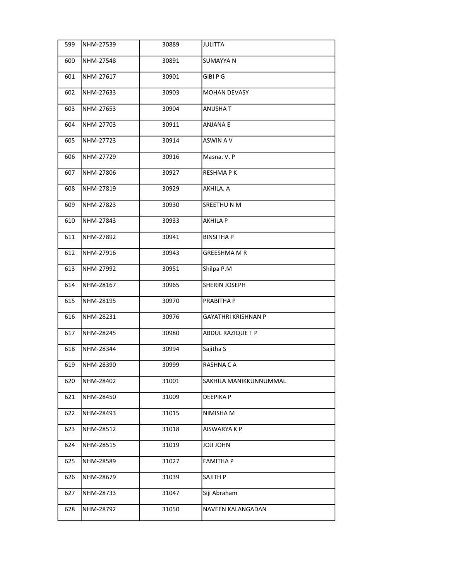| 599 | NHM-27539 | 30889 | JULITTA                    |
|-----|-----------|-------|----------------------------|
| 600 | NHM-27548 | 30891 | lsumayya n                 |
| 601 | NHM-27617 | 30901 | <b>GIBI P G</b>            |
| 602 | NHM-27633 | 30903 | <b>MOHAN DEVASY</b>        |
| 603 | NHM-27653 | 30904 | ANUSHA T                   |
| 604 | NHM-27703 | 30911 | <b>ANJANA E</b>            |
| 605 | NHM-27723 | 30914 | ASWIN A V                  |
| 606 | NHM-27729 | 30916 | Masna. V. P                |
| 607 | NHM-27806 | 30927 | <b>RESHMAPK</b>            |
| 608 | NHM-27819 | 30929 | lakhila. A                 |
| 609 | NHM-27823 | 30930 | <b>SREETHUNM</b>           |
| 610 | NHM-27843 | 30933 | <b>AKHILA P</b>            |
| 611 | NHM-27892 | 30941 | <b>BINSITHAP</b>           |
| 612 | NHM-27916 | 30943 | <b>GREESHMA M R</b>        |
| 613 | NHM-27992 | 30951 | Shilpa P.M                 |
| 614 | NHM-28167 | 30965 | SHERIN JOSEPH              |
| 615 | NHM-28195 | 30970 | PRABITHA P                 |
| 616 | NHM-28231 | 30976 | <b>GAYATHRI KRISHNAN P</b> |
| 617 | NHM-28245 | 30980 | ABDUL RAZIQUE T P          |
| 618 | NHM-28344 | 30994 | Sajitha S                  |
| 619 | NHM-28390 | 30999 | RASHNA CA                  |
| 620 | NHM-28402 | 31001 | SAKHILA MANIKKUNNUMMAL     |
| 621 | NHM-28450 | 31009 | DEEPIKA P                  |
| 622 | NHM-28493 | 31015 | NIMISHA M                  |
| 623 | NHM-28512 | 31018 | AISWARYA K P               |
| 624 | NHM-28515 | 31019 | <b>MHOLILOL</b>            |
| 625 | NHM-28589 | 31027 | FAMITHA P                  |
| 626 | NHM-28679 | 31039 | SAJITH P                   |
| 627 | NHM-28733 | 31047 | Siji Abraham               |
| 628 | NHM-28792 | 31050 | NAVEEN KALANGADAN          |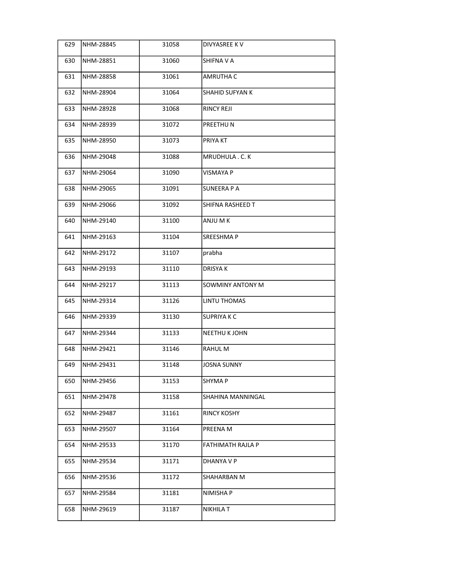| 629 | NHM-28845 | 31058 | <b>DIVYASREE KV</b>    |
|-----|-----------|-------|------------------------|
| 630 | NHM-28851 | 31060 | SHIFNA V A             |
| 631 | NHM-28858 | 31061 | AMRUTHA C              |
| 632 | NHM-28904 | 31064 | <b>SHAHID SUFYAN K</b> |
| 633 | NHM-28928 | 31068 | <b>RINCY REJI</b>      |
| 634 | NHM-28939 | 31072 | PREETHU N              |
| 635 | NHM-28950 | 31073 | PRIYA KT               |
| 636 | NHM-29048 | 31088 | MRUDHULA . C. K        |
| 637 | NHM-29064 | 31090 | VISMAYA P              |
| 638 | NHM-29065 | 31091 | <b>SUNEERA P A</b>     |
| 639 | NHM-29066 | 31092 | SHIFNA RASHEED T       |
| 640 | NHM-29140 | 31100 | ANJU M K               |
| 641 | NHM-29163 | 31104 | SREESHMA P             |
| 642 | NHM-29172 | 31107 | prabha                 |
| 643 | NHM-29193 | 31110 | DRISYA K               |
| 644 | NHM-29217 | 31113 | SOWMINY ANTONY M       |
| 645 | NHM-29314 | 31126 | LINTU THOMAS           |
| 646 | NHM-29339 | 31130 | <b>SUPRIYAKC</b>       |
| 647 | NHM-29344 | 31133 | NEETHU K JOHN          |
| 648 | NHM-29421 | 31146 | RAHUL M                |
| 649 | NHM-29431 | 31148 | JOSNA SUNNY            |
| 650 | NHM-29456 | 31153 | SHYMA P                |
| 651 | NHM-29478 | 31158 | SHAHINA MANNINGAL      |
| 652 | NHM-29487 | 31161 | <b>RINCY KOSHY</b>     |
| 653 | NHM-29507 | 31164 | PREENA M               |
| 654 | NHM-29533 | 31170 | FATHIMATH RAJLA P      |
| 655 | NHM-29534 | 31171 | DHANYA V P             |
| 656 | NHM-29536 | 31172 | SHAHARBAN M            |
| 657 | NHM-29584 | 31181 | NIMISHA P              |
| 658 | NHM-29619 | 31187 | NIKHILA T              |